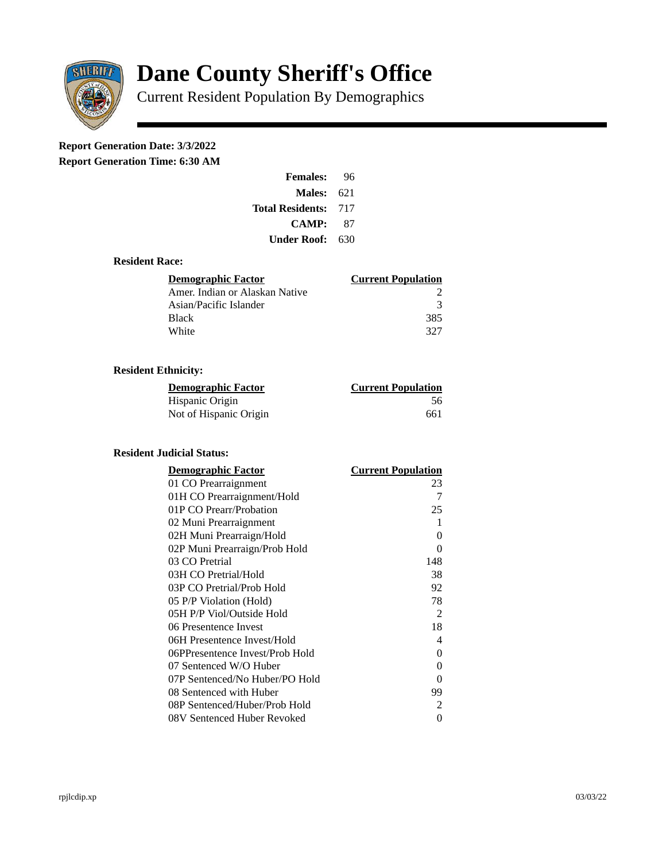

# **Dane County Sheriff's Office**

Current Resident Population By Demographics

# **Report Generation Date: 3/3/2022**

**Report Generation Time: 6:30 AM** 

| <b>Females:</b>         | 96  |
|-------------------------|-----|
| Males:                  | 621 |
| <b>Total Residents:</b> | 717 |
| CAMP:                   | 87  |
| Under Roof:             | 630 |

### **Resident Race:**

| <b>Demographic Factor</b>      | <b>Current Population</b> |
|--------------------------------|---------------------------|
| Amer. Indian or Alaskan Native |                           |
| Asian/Pacific Islander         | з                         |
| <b>Black</b>                   | 385                       |
| White                          | 327                       |

## **Resident Ethnicity:**

| <u>Demographic Factor</u> | <u>Current Population</u> |
|---------------------------|---------------------------|
| Hispanic Origin           | 56                        |
| Not of Hispanic Origin    | 661                       |

### **Resident Judicial Status:**

| <b>Demographic Factor</b>       | <b>Current Population</b> |
|---------------------------------|---------------------------|
| 01 CO Prearraignment            | 23                        |
| 01H CO Prearraignment/Hold      | 7                         |
| 01P CO Prearr/Probation         | 25                        |
| 02 Muni Prearraignment          | 1                         |
| 02H Muni Prearraign/Hold        | 0                         |
| 02P Muni Prearraign/Prob Hold   | 0                         |
| 03 CO Pretrial                  | 148                       |
| 03H CO Pretrial/Hold            | 38                        |
| 03P CO Pretrial/Prob Hold       | 92                        |
| 05 P/P Violation (Hold)         | 78                        |
| 05H P/P Viol/Outside Hold       | 2                         |
| 06 Presentence Invest           | 18                        |
| 06H Presentence Invest/Hold     | 4                         |
| 06PPresentence Invest/Prob Hold | 0                         |
| 07 Sentenced W/O Huber          | 0                         |
| 07P Sentenced/No Huber/PO Hold  | 0                         |
| 08 Sentenced with Huber         | 99                        |
| 08P Sentenced/Huber/Prob Hold   | $\overline{2}$            |
| 08V Sentenced Huber Revoked     | 0                         |